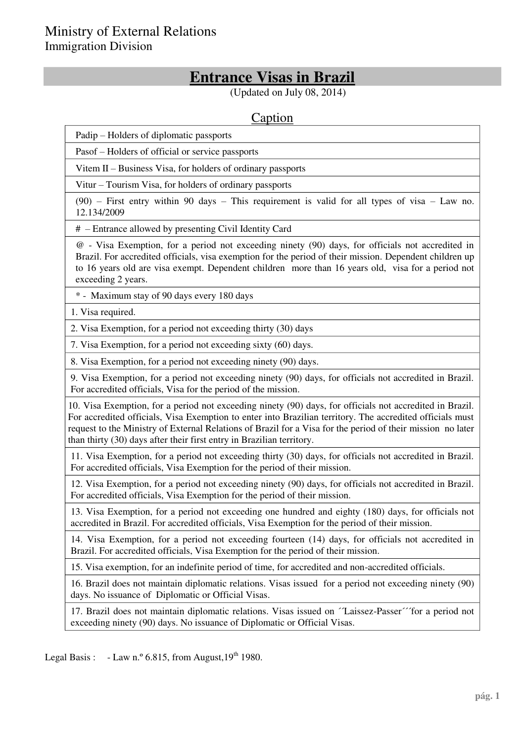## **Entrance Visas in Brazil**

(Updated on July 08, 2014)

## Caption

Padip – Holders of diplomatic passports

Pasof – Holders of official or service passports

Vitem  $II$  – Business Visa, for holders of ordinary passports

Vitur – Tourism Visa, for holders of ordinary passports

 $(90)$  – First entry within 90 days – This requirement is valid for all types of visa – Law no. 12.134/2009

# ± Entrance allowed by presenting Civil Identity Card

@ - Visa Exemption, for a period not exceeding ninety (90) days, for officials not accredited in Brazil. For accredited officials, visa exemption for the period of their mission. Dependent children up to 16 years old are visa exempt. Dependent children more than 16 years old, visa for a period not exceeding 2 years.

\* - Maximum stay of 90 days every 180 days

1. Visa required.

2. Visa Exemption, for a period not exceeding thirty (30) days

7. Visa Exemption, for a period not exceeding sixty (60) days.

8. Visa Exemption, for a period not exceeding ninety (90) days.

9. Visa Exemption, for a period not exceeding ninety (90) days, for officials not accredited in Brazil. For accredited officials, Visa for the period of the mission.

10. Visa Exemption, for a period not exceeding ninety (90) days, for officials not accredited in Brazil. For accredited officials, Visa Exemption to enter into Brazilian territory. The accredited officials must request to the Ministry of External Relations of Brazil for a Visa for the period of their mission no later than thirty (30) days after their first entry in Brazilian territory.

11. Visa Exemption, for a period not exceeding thirty (30) days, for officials not accredited in Brazil. For accredited officials, Visa Exemption for the period of their mission.

12. Visa Exemption, for a period not exceeding ninety (90) days, for officials not accredited in Brazil. For accredited officials, Visa Exemption for the period of their mission.

13. Visa Exemption, for a period not exceeding one hundred and eighty (180) days, for officials not accredited in Brazil. For accredited officials, Visa Exemption for the period of their mission.

14. Visa Exemption, for a period not exceeding fourteen (14) days, for officials not accredited in Brazil. For accredited officials, Visa Exemption for the period of their mission.

15. Visa exemption, for an indefinite period of time, for accredited and non-accredited officials.

16. Brazil does not maintain diplomatic relations. Visas issued for a period not exceeding ninety (90) days. No issuance of Diplomatic or Official Visas.

17. Brazil does not maintain diplomatic relations. Visas issued on ´´Laissez-Passer´´´for a period not exceeding ninety (90) days. No issuance of Diplomatic or Official Visas.

Legal Basis :  $-Law n.° 6.815$ , from August,  $19<sup>th</sup> 1980$ .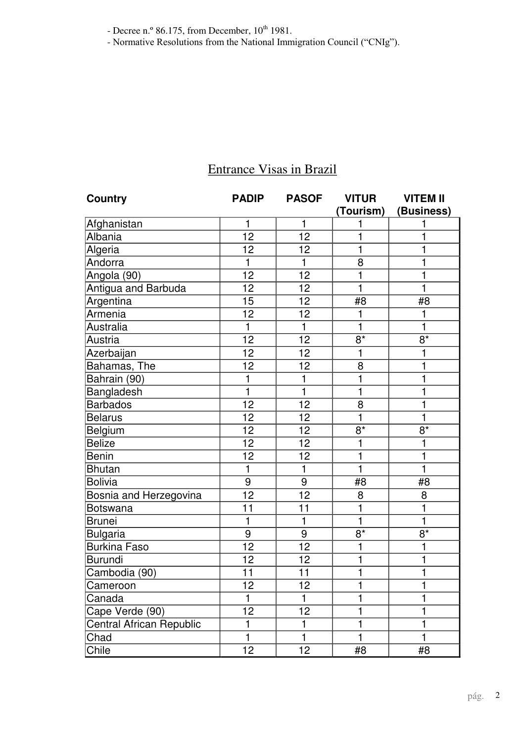- Decree n.º 86.175, from December,  $10^{th}$  1981.

- Normative Resolutions from the National Immigration Council ("CNIg").

| <b>Country</b>           | <b>PADIP</b> | <b>PASOF</b> | <b>VITUR</b>   | <b>VITEM II</b> |
|--------------------------|--------------|--------------|----------------|-----------------|
|                          |              |              | (Tourism)      | (Business)      |
| Afghanistan              | 1            | 1            | 1              | 1               |
| Albania                  | 12           | 12           |                | 1               |
| Algeria                  | 12           | 12           | 1              | 1               |
| Andorra                  | 1            | $\mathbf{1}$ | 8              | 1               |
| Angola (90)              | 12           | 12           | 1              | 1               |
| Antigua and Barbuda      | 12           | 12           | 1              | 1               |
| Argentina                | 15           | 12           | #8             | #8              |
| Armenia                  | 12           | 12           | $\mathbf{1}$   | 1               |
| Australia                | 1            | $\mathbf{1}$ | $\mathbf{1}$   | 1               |
| Austria                  | 12           | 12           | $8*$           | $8*$            |
| Azerbaijan               | 12           | 12           | 1              | 1               |
| Bahamas, The             | 12           | 12           | 8              | 1               |
| Bahrain (90)             | 1            | 1            | 1              | 1               |
| Bangladesh               | $\mathbf 1$  | $\mathbf{1}$ | 1              | 1               |
| <b>Barbados</b>          | 12           | 12           | 8              | 1               |
| <b>Belarus</b>           | 12           | 12           | 1              | 1               |
| Belgium                  | 12           | 12           | $8*$           | $8*$            |
| <b>Belize</b>            | 12           | 12           |                | 1               |
| <b>Benin</b>             | 12           | 12           | 1              | 1               |
| <b>Bhutan</b>            | $\mathbf{1}$ | $\mathbf{1}$ | $\mathbf{1}$   | 1               |
| <b>Bolivia</b>           | 9            | 9            | #8             | #8              |
| Bosnia and Herzegovina   | 12           | 12           | 8              | 8               |
| <b>Botswana</b>          | 11           | 11           | 1              | 1               |
| <b>Brunei</b>            | 1            | $\mathbf{1}$ | 1              | 1               |
| <b>Bulgaria</b>          | 9            | 9            | $8*$           | $8*$            |
| <b>Burkina Faso</b>      | 12           | 12           | 1              | 1               |
| Burundi                  | 12           | 12           | 1              | 1               |
| Cambodia (90)            | 11           | 11           |                | 1               |
| Cameroon                 | 12           | 12           | $\blacksquare$ | 1               |
| Canada                   | 1            | 1            |                | 1               |
| Cape Verde (90)          | 12           | 12           |                | 1               |
| Central African Republic | 1            | 1            |                | 1               |
| Chad                     | 1            |              |                | 1               |
| Chile                    | 12           | 12           | #8             | #8              |

## Entrance Visas in Brazil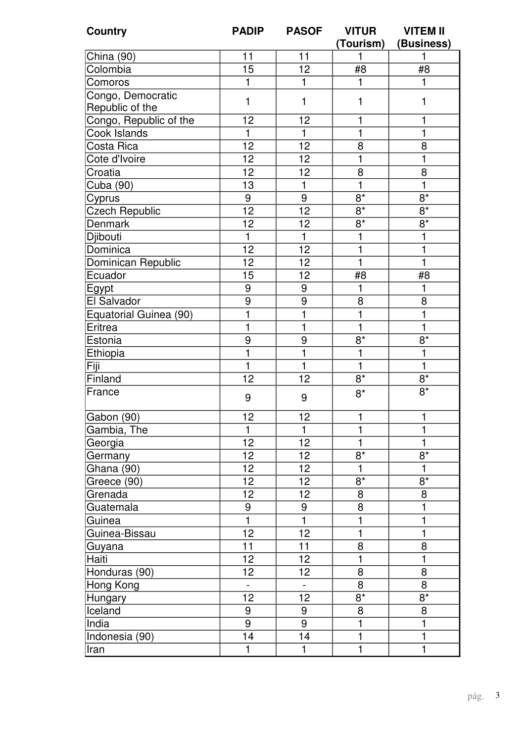| <b>Country</b>         | <b>PADIP</b>   | <b>PASOF</b>     | <b>VITUR</b><br>(Tourism) | <b>VITEM II</b><br>(Business) |
|------------------------|----------------|------------------|---------------------------|-------------------------------|
| China (90)             | 11             | 11               |                           | 1                             |
| Colombia               | 15             | 12               | #8                        | #8                            |
| Comoros                | 1              | $\mathbf{1}$     | 1                         | 1                             |
| Congo, Democratic      |                |                  |                           |                               |
| Republic of the        | $\mathbf{1}$   | 1                | 1                         | 1                             |
| Congo, Republic of the | 12             | 12               | 1                         | 1                             |
| Cook Islands           | 1              | 1                | 1                         | 1                             |
| Costa Rica             | 12             | 12               | 8                         | 8                             |
| Cote d'Ivoire          | 12             | 12               | 1                         | 1                             |
| Croatia                | 12             | 12               | 8                         | 8                             |
| Cuba (90)              | 13             | $\mathbf{1}$     | 1                         | 1                             |
| Cyprus                 | 9              | 9                | $8*$                      | $8*$                          |
| <b>Czech Republic</b>  | 12             | 12               | $8*$                      | $8*$                          |
| Denmark                | 12             | 12               | $8*$                      | $8*$                          |
| Djibouti               | $\mathbf{1}$   | $\mathbf{1}$     | 1                         | 1                             |
| Dominica               | 12             | 12               | 1                         | 1                             |
| Dominican Republic     | 12             | 12               | $\mathbf{1}$              | $\mathbf{1}$                  |
| Ecuador                | 15             | 12               | #8                        | #8                            |
| Egypt                  | 9              | $\boldsymbol{9}$ | 1                         | 1                             |
| El Salvador            | 9              | 9                | 8                         | 8                             |
| Equatorial Guinea (90) | $\mathbf{1}$   | 1                | $\mathbf{1}$              | 1                             |
| Eritrea                | 1              | 1                | 1                         | 1                             |
| Estonia                | 9              | 9                | $8*$                      | $8*$                          |
| Ethiopia               | 1              | 1                | 1                         | 1                             |
| Fiji                   | $\mathbf{1}$   | 1                | $\mathbf{1}$              | 1                             |
| Finland                | 12             | 12               | $8*$                      | $8*$                          |
| France                 | 9              | 9                | $8*$                      | $8*$                          |
| Gabon (90)             | 12             | 12               | 1                         | $\mathbf{1}$                  |
| Gambia, The            | $\mathbf{1}$   | 1                | 1                         | 1                             |
| Georgia                | 12             | 12               | 1                         | $\mathbf{1}$                  |
| Germany                | 12             | 12               | $8*$                      | $8*$                          |
| Ghana (90)             | 12             | 12               | 1                         | 1                             |
| Greece (90)            | 12             | 12               | $8*$                      | $8^*$                         |
| Grenada                | 12             | 12               | 8                         | 8                             |
| Guatemala              | 9              | 9                | $\overline{8}$            | 1                             |
| Guinea                 | $\mathbf{1}$   | $\mathbf{1}$     | 1                         | 1                             |
| Guinea-Bissau          | 12             | 12               | 1                         | 1                             |
| Guyana                 | 11             | 11               | 8                         | 8                             |
| Haiti                  | 12             | 12               | $\mathbf{1}$              | 1                             |
| Honduras (90)          | 12             | 12               | 8                         | 8                             |
| Hong Kong              | $\blacksquare$ | $\blacksquare$   | 8                         | 8                             |
| Hungary                | 12             | 12               | $8*$                      | $8*$                          |
| Iceland                | 9              | 9                | 8                         | 8                             |
| India                  | 9              | 9                | 1                         | 1                             |
| Indonesia (90)         | 14             | 14               | $\mathbf{1}$              | 1                             |
| Iran                   | 1              | 1                | 1                         | $\mathbf 1$                   |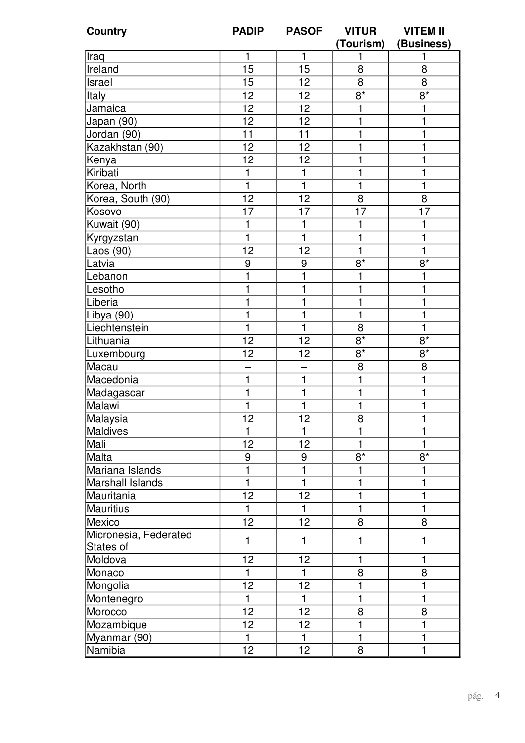| <b>Country</b>          | <b>PADIP</b>    | <b>PASOF</b>    | <b>VITUR</b>     | <b>VITEM II</b>  |
|-------------------------|-----------------|-----------------|------------------|------------------|
|                         |                 |                 | (Tourism)        | (Business)       |
| Iraq                    | 1               | 1               |                  | 1                |
| Ireland                 | 15              | 15              | 8                | 8                |
| Israel                  | 15              | 12              | 8                | 8                |
| Italy                   | $\overline{12}$ | 12              | $\overline{8^*}$ | $8*$             |
| Jamaica                 | 12              | 12              | 1                | 1                |
| Japan (90)              | $\overline{12}$ | 12              |                  | 1                |
| Jordan (90)             | 11              | 11              | 1                | 1                |
| Kazakhstan (90)         | 12              | 12              |                  | 1                |
| Kenya                   | 12              | 12              |                  | 1                |
| Kiribati                | 1               | 1               |                  | 1                |
| Korea, North            | $\mathbf{1}$    | $\mathbf 1$     | 1                | 1                |
| Korea, South (90)       | 12              | 12              | 8                | 8                |
| Kosovo                  | 17              | 17              | 17               | 17               |
| Kuwait (90)             | 1               | 1               |                  | 1                |
| Kyrgyzstan              | 1               | 1               |                  | 1                |
| Laos (90)               | 12              | 12              | 1                | $\mathbf{1}$     |
| Latvia                  | 9               | 9               | $8*$             | $8*$             |
| Lebanon                 | $\mathbf{1}$    | 1               |                  | 1                |
| Lesotho                 | 1               | 1               |                  | 1                |
| Liberia                 | $\mathbf{1}$    | 1               |                  | 1                |
| Libya (90)              | $\mathbf{1}$    | 1               | 1                | 1                |
| Liechtenstein           | $\mathbf{1}$    | 1               | 8                | 1                |
| Lithuania               | 12              | 12              | $8*$             | $\overline{8^*}$ |
| Luxembourg              | 12              | 12              | $8*$             | $8*$             |
| Macau                   |                 |                 | 8                | 8                |
| Macedonia               | $\mathbf{1}$    | 1               | 1                | 1                |
| Madagascar              | $\mathbf{1}$    |                 |                  | 1                |
| Malawi                  | 1               | 1               | 1                | 1                |
| Malaysia                | 12              | 12              | 8                | 1                |
| Maldives                | 1               | 1               |                  | 1                |
| Mali                    | 12              | 12              | 1                | 1                |
| Malta                   | 9               | 9               | $8*$             | $8*$             |
| Mariana Islands         | 1               | 1               |                  | 1                |
| <b>Marshall Islands</b> | $\mathbf{1}$    | 1               |                  | 1                |
| Mauritania              | 12              | 12              | 1                | 1                |
| <b>Mauritius</b>        | $\mathbf{1}$    | 1               | 1                | 1                |
| Mexico                  | 12              | 12              | 8                | 8                |
| Micronesia, Federated   | 1               | $\mathbf{1}$    | 1                | $\mathbf{1}$     |
| States of               |                 |                 |                  |                  |
| Moldova                 | 12              | 12              |                  | 1                |
| Monaco                  | $\mathbf{1}$    | 1               | 8                | 8                |
| Mongolia                | 12              | 12              |                  | 1                |
| Montenegro              | $\mathbf{1}$    | $\mathbf 1$     |                  | 1                |
| Morocco                 | 12              | 12              | 8                | 8                |
| Mozambique              | 12              | 12              | 1                | 1                |
| Myanmar (90)            | $\mathbf{1}$    | 1               | 1                | 1                |
| Namibia                 | 12 <sub>2</sub> | 12 <sub>2</sub> | 8                | 1                |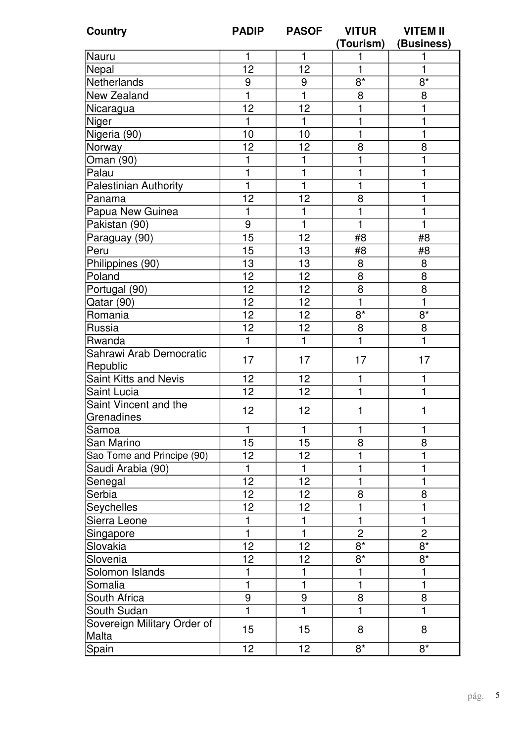| <b>Country</b>                      | <b>PADIP</b> | <b>PASOF</b> | <b>VITUR</b><br>(Tourism) | <b>VITEM II</b><br>(Business) |
|-------------------------------------|--------------|--------------|---------------------------|-------------------------------|
| Nauru                               | 1            | 1            | 1                         | 1                             |
| Nepal                               | 12           | 12           | $\mathbf{1}$              | 1                             |
| Netherlands                         | 9            | 9            | $8*$                      | $8*$                          |
| New Zealand                         | $\mathbf{1}$ | $\mathbf{1}$ | 8                         | 8                             |
| Nicaragua                           | 12           | 12           |                           | 1                             |
| Niger                               | $\mathbf{1}$ | 1            | 1                         | 1                             |
| Nigeria (90)                        | 10           | 10           | 1                         | $\mathbf 1$                   |
| Norway                              | 12           | 12           | 8                         | 8                             |
| Oman (90)                           | 1            | 1            |                           | 1                             |
| Palau                               | 1            | 1            | 1                         | 1                             |
| <b>Palestinian Authority</b>        | $\mathbf 1$  | $\mathbf 1$  | 1                         | 1                             |
| Panama                              | 12           | 12           | 8                         | 1                             |
| Papua New Guinea                    | $\mathbf{1}$ | 1            | 1                         | 1                             |
| Pakistan (90)                       | 9            | $\mathbf{1}$ | 1                         | $\mathbf{1}$                  |
|                                     | 15           | 12           | #8                        | #8                            |
| Paraguay (90)<br>Peru               | 15           | 13           | #8                        | #8                            |
|                                     | 13           | 13           | 8                         | 8                             |
| Philippines (90)                    | 12           | 12           | 8                         | 8                             |
| Poland                              | 12           | 12           | $\overline{8}$            | 8                             |
| Portugal (90)                       | 12           | 12           | $\mathbf{1}$              | $\mathbf{1}$                  |
| Qatar (90)                          | 12           | 12           | $8*$                      | $8*$                          |
| Romania                             |              |              |                           |                               |
| Russia                              | 12           | 12           | 8                         | 8                             |
| Rwanda                              | 1            | $\mathbf{1}$ | $\mathbf{1}$              | $\mathbf{1}$                  |
| Sahrawi Arab Democratic<br>Republic | 17           | 17           | 17                        | 17                            |
| Saint Kitts and Nevis               | 12           | 12           | 1                         | 1                             |
| Saint Lucia                         | 12           | 12           | 1                         | 1                             |
| Saint Vincent and the<br>Grenadines | 12           | 12           | 1                         | 1                             |
| Samoa                               | 1            | 1            | 1                         | 1                             |
| San Marino                          | 15           | 15           | 8                         | 8                             |
| Sao Tome and Principe (90)          | 12           | 12           |                           | 1                             |
| Saudi Arabia (90)                   | 1            | 1            | 1                         | 1                             |
| Senegal                             | 12           | 12           |                           | 1                             |
| Serbia                              | 12           | 12           | 8                         | 8                             |
| <b>Seychelles</b>                   | 12           | 12           | 1                         | 1                             |
| Sierra Leone                        | 1            | 1            | 1                         | 1                             |
| Singapore                           | 1            | 1            | $\overline{2}$            | $\overline{2}$                |
| Slovakia                            | 12           | 12           | $8*$                      | $8*$                          |
| Slovenia                            | 12           | 12           | $8*$                      | $8*$                          |
| Solomon Islands                     | 1            |              |                           | 1                             |
| Somalia                             | 1            | 1            | 1                         | 1                             |
| South Africa                        | 9            | 9            | 8                         | 8                             |
| South Sudan                         | 1            |              |                           | 1                             |
| Sovereign Military Order of         |              |              |                           |                               |
| Malta                               | 15           | 15           | 8                         | 8                             |
| Spain                               | 12           | 12           | $8*$                      | $8*$                          |